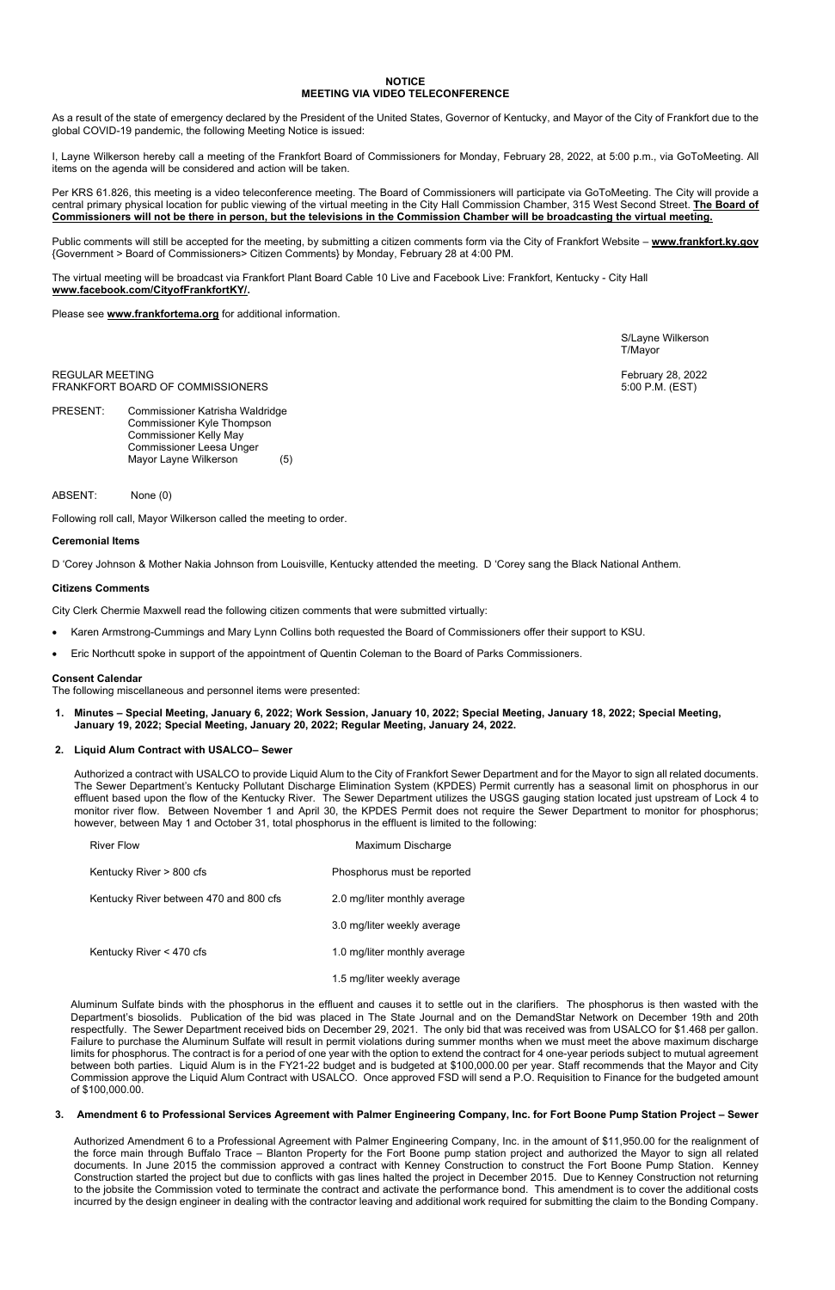### **NOTICE MEETING VIA VIDEO TELECONFERENCE**

As a result of the state of emergency declared by the President of the United States, Governor of Kentucky, and Mayor of the City of Frankfort due to the global COVID-19 pandemic, the following Meeting Notice is issued:

I, Layne Wilkerson hereby call a meeting of the Frankfort Board of Commissioners for Monday, February 28, 2022, at 5:00 p.m., via GoToMeeting. All items on the agenda will be considered and action will be taken.

Public comments will still be accepted for the meeting, by submitting a citizen comments form via the City of Frankfort Website - [www.frankfort.ky.gov](http://www.frankfort.ky.gov/) {Government > Board of Commissioners> Citizen Comments} by Monday, February 28 at 4:00 PM.

Per KRS 61.826, this meeting is a video teleconference meeting. The Board of Commissioners will participate via GoToMeeting. The City will provide a central primary physical location for public viewing of the virtual meeting in the City Hall Commission Chamber, 315 West Second Street. **The Board of Commissioners will not be there in person, but the televisions in the Commission Chamber will be broadcasting the virtual meeting.** 

The virtual meeting will be broadcast via Frankfort Plant Board Cable 10 Live and Facebook Live: Frankfort, Kentucky - City Hall **[www.facebook.com/CityofFrankfortKY/.](http://www.facebook.com/CityofFrankfortKY/)**

Please see **[www.frankfortema.org](http://www.frankfortema.org/)** for additional information.

 S/Layne Wilkerson T/Mayor

REGULAR MEETING February 28, 2022 FRANKFORT BOARD OF COMMISSIONERS **FRANKFORT BOARD OF COMMISSIONERS** 5:00 P.M. (EST)

PRESENT: Commissioner Katrisha Waldridge Commissioner Kyle Thompson Commissioner Kelly May Commissioner Leesa Unger Mayor Layne Wilkerson (5)

ABSENT: None (0)

Following roll call, Mayor Wilkerson called the meeting to order.

# **Ceremonial Items**

D 'Corey Johnson & Mother Nakia Johnson from Louisville, Kentucky attended the meeting. D 'Corey sang the Black National Anthem.

### **Citizens Comments**

City Clerk Chermie Maxwell read the following citizen comments that were submitted virtually:

- Karen Armstrong-Cummings and Mary Lynn Collins both requested the Board of Commissioners offer their support to KSU.
- Eric Northcutt spoke in support of the appointment of Quentin Coleman to the Board of Parks Commissioners.

### **Consent Calendar**

The following miscellaneous and personnel items were presented:

**1. Minutes – Special Meeting, January 6, 2022; Work Session, January 10, 2022; Special Meeting, January 18, 2022; Special Meeting, January 19, 2022; Special Meeting, January 20, 2022; Regular Meeting, January 24, 2022.** 

### **2. Liquid Alum Contract with USALCO– Sewer**

Authorized a contract with USALCO to provide Liquid Alum to the City of Frankfort Sewer Department and for the Mayor to sign all related documents. The Sewer Department's Kentucky Pollutant Discharge Elimination System (KPDES) Permit currently has a seasonal limit on phosphorus in our effluent based upon the flow of the Kentucky River. The Sewer Department utilizes the USGS gauging station located just upstream of Lock 4 to monitor river flow. Between November 1 and April 30, the KPDES Permit does not require the Sewer Department to monitor for phosphorus; however, between May 1 and October 31, total phosphorus in the effluent is limited to the following:

| River Flow                             | Maximum Discharge            |  |
|----------------------------------------|------------------------------|--|
| Kentucky River > 800 cfs               | Phosphorus must be reported  |  |
| Kentucky River between 470 and 800 cfs | 2.0 mg/liter monthly average |  |
|                                        | 3.0 mg/liter weekly average  |  |

Kentucky River < 470 cfs 1.0 mg/liter monthly average

1.5 mg/liter weekly average

Aluminum Sulfate binds with the phosphorus in the effluent and causes it to settle out in the clarifiers. The phosphorus is then wasted with the Department's biosolids. Publication of the bid was placed in The State Journal and on the DemandStar Network on December 19th and 20th respectfully. The Sewer Department received bids on December 29, 2021. The only bid that was received was from USALCO for \$1.468 per gallon. Failure to purchase the Aluminum Sulfate will result in permit violations during summer months when we must meet the above maximum discharge limits for phosphorus. The contract is for a period of one year with the option to extend the contract for 4 one-year periods subject to mutual agreement between both parties. Liquid Alum is in the FY21-22 budget and is budgeted at \$100,000.00 per year. Staff recommends that the Mayor and City Commission approve the Liquid Alum Contract with USALCO. Once approved FSD will send a P.O. Requisition to Finance for the budgeted amount of \$100,000.00.

#### **3. Amendment 6 to Professional Services Agreement with Palmer Engineering Company, Inc. for Fort Boone Pump Station Project – Sewer**

Authorized Amendment 6 to a Professional Agreement with Palmer Engineering Company, Inc. in the amount of \$11,950.00 for the realignment of the force main through Buffalo Trace – Blanton Property for the Fort Boone pump station project and authorized the Mayor to sign all related documents. In June 2015 the commission approved a contract with Kenney Construction to construct the Fort Boone Pump Station. Kenney Construction started the project but due to conflicts with gas lines halted the project in December 2015. Due to Kenney Construction not returning to the jobsite the Commission voted to terminate the contract and activate the performance bond. This amendment is to cover the additional costs incurred by the design engineer in dealing with the contractor leaving and additional work required for submitting the claim to the Bonding Company.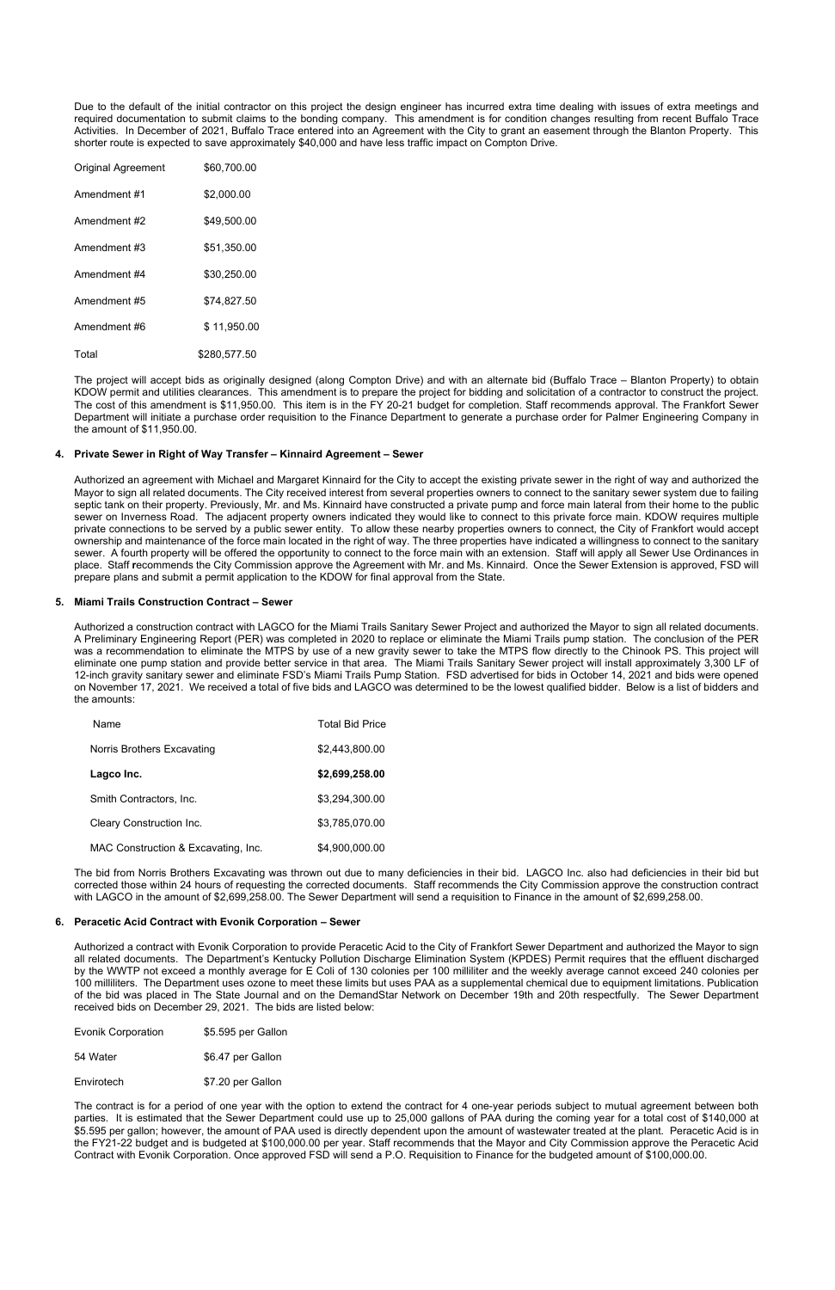Due to the default of the initial contractor on this project the design engineer has incurred extra time dealing with issues of extra meetings and required documentation to submit claims to the bonding company. This amendment is for condition changes resulting from recent Buffalo Trace Activities. In December of 2021, Buffalo Trace entered into an Agreement with the City to grant an easement through the Blanton Property. This shorter route is expected to save approximately \$40,000 and have less traffic impact on Compton Drive.

| <b>Original Agreement</b> | \$60,700.00  |
|---------------------------|--------------|
| Amendment #1              | \$2,000.00   |
| Amendment #2              | \$49,500.00  |
| Amendment #3              | \$51,350.00  |
| Amendment #4              | \$30,250.00  |
| Amendment #5              | \$74,827.50  |
| Amendment #6              | \$11,950.00  |
| Total                     | \$280,577.50 |

The project will accept bids as originally designed (along Compton Drive) and with an alternate bid (Buffalo Trace – Blanton Property) to obtain KDOW permit and utilities clearances. This amendment is to prepare the project for bidding and solicitation of a contractor to construct the project. The cost of this amendment is \$11,950.00. This item is in the FY 20-21 budget for completion. Staff recommends approval. The Frankfort Sewer Department will initiate a purchase order requisition to the Finance Department to generate a purchase order for Palmer Engineering Company in the amount of \$11,950.00.

## **4. Private Sewer in Right of Way Transfer – Kinnaird Agreement – Sewer**

Authorized an agreement with Michael and Margaret Kinnaird for the City to accept the existing private sewer in the right of way and authorized the Mayor to sign all related documents. The City received interest from several properties owners to connect to the sanitary sewer system due to failing septic tank on their property. Previously, Mr. and Ms. Kinnaird have constructed a private pump and force main lateral from their home to the public sewer on Inverness Road. The adjacent property owners indicated they would like to connect to this private force main. KDOW requires multiple private connections to be served by a public sewer entity. To allow these nearby properties owners to connect, the City of Frankfort would accept ownership and maintenance of the force main located in the right of way. The three properties have indicated a willingness to connect to the sanitary sewer. A fourth property will be offered the opportunity to connect to the force main with an extension. Staff will apply all Sewer Use Ordinances in place. Staff **r**ecommends the City Commission approve the Agreement with Mr. and Ms. Kinnaird. Once the Sewer Extension is approved, FSD will prepare plans and submit a permit application to the KDOW for final approval from the State.

## **5. Miami Trails Construction Contract – Sewer**

Authorized a construction contract with LAGCO for the Miami Trails Sanitary Sewer Project and authorized the Mayor to sign all related documents. A Preliminary Engineering Report (PER) was completed in 2020 to replace or eliminate the Miami Trails pump station. The conclusion of the PER was a recommendation to eliminate the MTPS by use of a new gravity sewer to take the MTPS flow directly to the Chinook PS. This project will eliminate one pump station and provide better service in that area. The Miami Trails Sanitary Sewer project will install approximately 3,300 LF of 12-inch gravity sanitary sewer and eliminate FSD's Miami Trails Pump Station. FSD advertised for bids in October 14, 2021 and bids were opened on November 17, 2021. We received a total of five bids and LAGCO was determined to be the lowest qualified bidder. Below is a list of bidders and the amounts:

| Name                                | <b>Total Bid Price</b> |
|-------------------------------------|------------------------|
| Norris Brothers Excavating          | \$2,443,800.00         |
| Lagco Inc.                          | \$2,699,258.00         |
| Smith Contractors, Inc.             | \$3,294,300.00         |
| Cleary Construction Inc.            | \$3,785,070.00         |
| MAC Construction & Excavating, Inc. | \$4.900.000.00         |

The bid from Norris Brothers Excavating was thrown out due to many deficiencies in their bid. LAGCO Inc. also had deficiencies in their bid but corrected those within 24 hours of requesting the corrected documents. Staff recommends the City Commission approve the construction contract with LAGCO in the amount of \$2,699,258.00. The Sewer Department will send a requisition to Finance in the amount of \$2,699,258.00.

### **6. Peracetic Acid Contract with Evonik Corporation – Sewer**

Authorized a contract with Evonik Corporation to provide Peracetic Acid to the City of Frankfort Sewer Department and authorized the Mayor to sign

all related documents. The Department's Kentucky Pollution Discharge Elimination System (KPDES) Permit requires that the effluent discharged by the WWTP not exceed a monthly average for E Coli of 130 colonies per 100 milliliter and the weekly average cannot exceed 240 colonies per 100 milliliters. The Department uses ozone to meet these limits but uses PAA as a supplemental chemical due to equipment limitations. Publication of the bid was placed in The State Journal and on the DemandStar Network on December 19th and 20th respectfully. The Sewer Department received bids on December 29, 2021. The bids are listed below:

Evonik Corporation \$5.595 per Gallon

54 Water  $$6.47$  per Gallon

Envirotech \$7.20 per Gallon

The contract is for a period of one year with the option to extend the contract for 4 one-year periods subject to mutual agreement between both parties. It is estimated that the Sewer Department could use up to 25,000 gallons of PAA during the coming year for a total cost of \$140,000 at \$5.595 per gallon; however, the amount of PAA used is directly dependent upon the amount of wastewater treated at the plant. Peracetic Acid is in the FY21-22 budget and is budgeted at \$100,000.00 per year. Staff recommends that the Mayor and City Commission approve the Peracetic Acid Contract with Evonik Corporation. Once approved FSD will send a P.O. Requisition to Finance for the budgeted amount of \$100,000.00.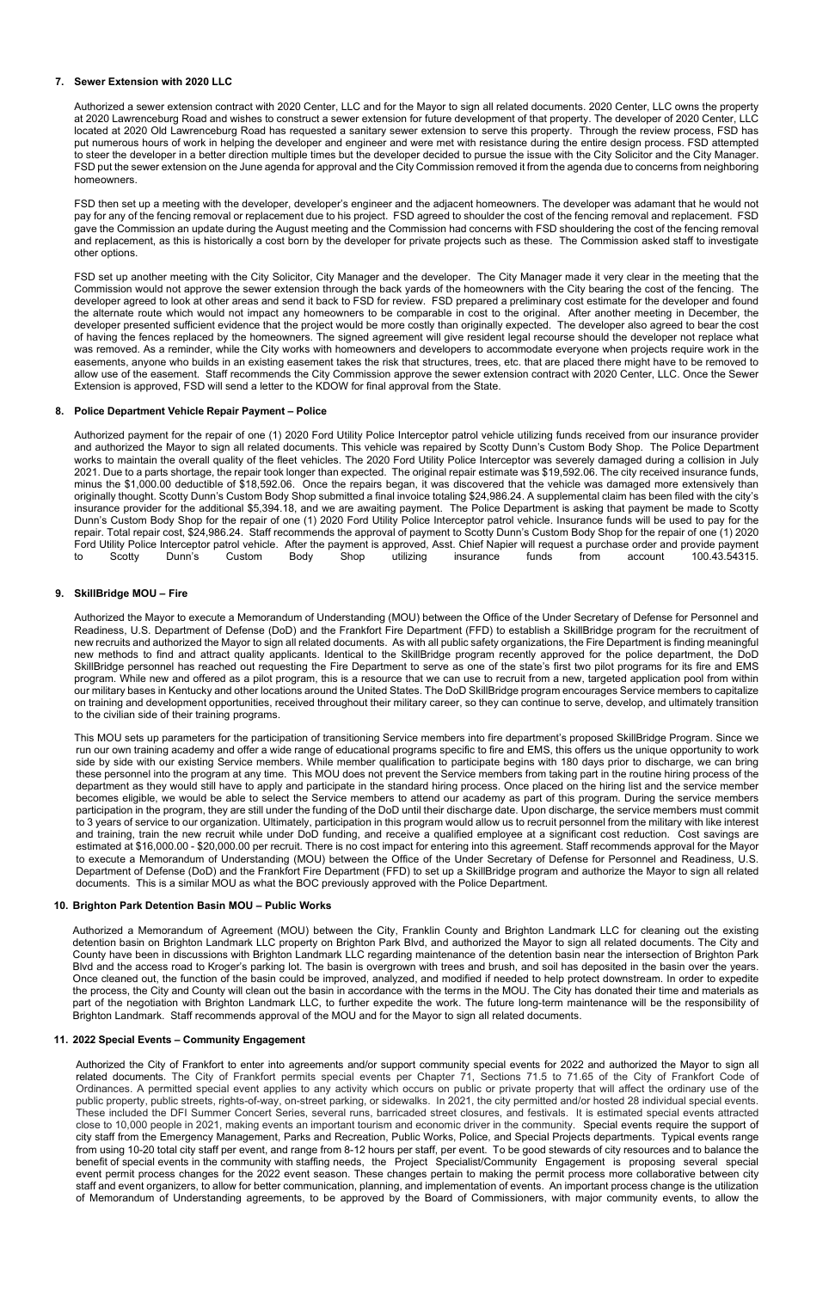## **7. Sewer Extension with 2020 LLC**

Authorized a sewer extension contract with 2020 Center, LLC and for the Mayor to sign all related documents. 2020 Center, LLC owns the property at 2020 Lawrenceburg Road and wishes to construct a sewer extension for future development of that property. The developer of 2020 Center, LLC located at 2020 Old Lawrenceburg Road has requested a sanitary sewer extension to serve this property. Through the review process, FSD has put numerous hours of work in helping the developer and engineer and were met with resistance during the entire design process. FSD attempted to steer the developer in a better direction multiple times but the developer decided to pursue the issue with the City Solicitor and the City Manager. FSD put the sewer extension on the June agenda for approval and the City Commission removed it from the agenda due to concerns from neighboring homeowners.

FSD then set up a meeting with the developer, developer's engineer and the adjacent homeowners. The developer was adamant that he would not pay for any of the fencing removal or replacement due to his project. FSD agreed to shoulder the cost of the fencing removal and replacement. FSD gave the Commission an update during the August meeting and the Commission had concerns with FSD shouldering the cost of the fencing removal and replacement, as this is historically a cost born by the developer for private projects such as these. The Commission asked staff to investigate other options.

FSD set up another meeting with the City Solicitor, City Manager and the developer. The City Manager made it very clear in the meeting that the Commission would not approve the sewer extension through the back yards of the homeowners with the City bearing the cost of the fencing. The developer agreed to look at other areas and send it back to FSD for review. FSD prepared a preliminary cost estimate for the developer and found the alternate route which would not impact any homeowners to be comparable in cost to the original. After another meeting in December, the developer presented sufficient evidence that the project would be more costly than originally expected. The developer also agreed to bear the cost of having the fences replaced by the homeowners. The signed agreement will give resident legal recourse should the developer not replace what was removed. As a reminder, while the City works with homeowners and developers to accommodate everyone when projects require work in the easements, anyone who builds in an existing easement takes the risk that structures, trees, etc. that are placed there might have to be removed to allow use of the easement. Staff recommends the City Commission approve the sewer extension contract with 2020 Center, LLC. Once the Sewer Extension is approved, FSD will send a letter to the KDOW for final approval from the State.

## **8. Police Department Vehicle Repair Payment – Police**

Authorized payment for the repair of one (1) 2020 Ford Utility Police Interceptor patrol vehicle utilizing funds received from our insurance provider and authorized the Mayor to sign all related documents. This vehicle was repaired by Scotty Dunn's Custom Body Shop. The Police Department works to maintain the overall quality of the fleet vehicles. The 2020 Ford Utility Police Interceptor was severely damaged during a collision in July 2021. Due to a parts shortage, the repair took longer than expected. The original repair estimate was \$19,592.06. The city received insurance funds, minus the \$1,000.00 deductible of \$18,592.06. Once the repairs began, it was discovered that the vehicle was damaged more extensively than originally thought. Scotty Dunn's Custom Body Shop submitted a final invoice totaling \$24,986.24. A supplemental claim has been filed with the city's insurance provider for the additional \$5,394.18, and we are awaiting payment. The Police Department is asking that payment be made to Scotty Dunn's Custom Body Shop for the repair of one (1) 2020 Ford Utility Police Interceptor patrol vehicle. Insurance funds will be used to pay for the repair. Total repair cost, \$24,986.24. Staff recommends the approval of payment to Scotty Dunn's Custom Body Shop for the repair of one (1) 2020 Ford Utility Police Interceptor patrol vehicle. After the payment is approved, Asst. Chief Napier will request a purchase order and provide payment to Scotty Dunn's Custom Body Shop utilizing insurance funds from account 1 to Scotty Dunn's Custom Body Shop utilizing insurance funds from account 100.43.54315.

# **9. SkillBridge MOU – Fire**

Authorized the Mayor to execute a Memorandum of Understanding (MOU) between the Office of the Under Secretary of Defense for Personnel and Readiness, U.S. Department of Defense (DoD) and the Frankfort Fire Department (FFD) to establish a SkillBridge program for the recruitment of new recruits and authorized the Mayor to sign all related documents. As with all public safety organizations, the Fire Department is finding meaningful new methods to find and attract quality applicants. Identical to the SkillBridge program recently approved for the police department, the DoD SkillBridge personnel has reached out requesting the Fire Department to serve as one of the state's first two pilot programs for its fire and EMS program. While new and offered as a pilot program, this is a resource that we can use to recruit from a new, targeted application pool from within our military bases in Kentucky and other locations around the United States. The DoD SkillBridge program encourages Service members to capitalize on training and development opportunities, received throughout their military career, so they can continue to serve, develop, and ultimately transition to the civilian side of their training programs.

This MOU sets up parameters for the participation of transitioning Service members into fire department's proposed SkillBridge Program. Since we run our own training academy and offer a wide range of educational programs specific to fire and EMS, this offers us the unique opportunity to work side by side with our existing Service members. While member qualification to participate begins with 180 days prior to discharge, we can bring these personnel into the program at any time. This MOU does not prevent the Service members from taking part in the routine hiring process of the department as they would still have to apply and participate in the standard hiring process. Once placed on the hiring list and the service member becomes eligible, we would be able to select the Service members to attend our academy as part of this program. During the service members participation in the program, they are still under the funding of the DoD until their discharge date. Upon discharge, the service members must commit to 3 years of service to our organization. Ultimately, participation in this program would allow us to recruit personnel from the military with like interest and training, train the new recruit while under DoD funding, and receive a qualified employee at a significant cost reduction. Cost savings are estimated at \$16,000.00 - \$20,000.00 per recruit. There is no cost impact for entering into this agreement. Staff recommends approval for the Mayor to execute a Memorandum of Understanding (MOU) between the Office of the Under Secretary of Defense for Personnel and Readiness, U.S. Department of Defense (DoD) and the Frankfort Fire Department (FFD) to set up a SkillBridge program and authorize the Mayor to sign all related documents. This is a similar MOU as what the BOC previously approved with the Police Department.

### **10. Brighton Park Detention Basin MOU – Public Works**

Authorized a Memorandum of Agreement (MOU) between the City, Franklin County and Brighton Landmark LLC for cleaning out the existing detention basin on Brighton Landmark LLC property on Brighton Park Blvd, and authorized the Mayor to sign all related documents. The City and

County have been in discussions with Brighton Landmark LLC regarding maintenance of the detention basin near the intersection of Brighton Park Blvd and the access road to Kroger's parking lot. The basin is overgrown with trees and brush, and soil has deposited in the basin over the years. Once cleaned out, the function of the basin could be improved, analyzed, and modified if needed to help protect downstream. In order to expedite the process, the City and County will clean out the basin in accordance with the terms in the MOU. The City has donated their time and materials as part of the negotiation with Brighton Landmark LLC, to further expedite the work. The future long-term maintenance will be the responsibility of Brighton Landmark. Staff recommends approval of the MOU and for the Mayor to sign all related documents.

### **11. 2022 Special Events – Community Engagement**

Authorized the City of Frankfort to enter into agreements and/or support community special events for 2022 and authorized the Mayor to sign all related documents. The City of Frankfort permits special events per Chapter 71, Sections 71.5 to 71.65 of the City of Frankfort Code of Ordinances. A permitted special event applies to any activity which occurs on public or private property that will affect the ordinary use of the public property, public streets, rights-of-way, on-street parking, or sidewalks. In 2021, the city permitted and/or hosted 28 individual special events. These included the DFI Summer Concert Series, several runs, barricaded street closures, and festivals. It is estimated special events attracted close to 10,000 people in 2021, making events an important tourism and economic driver in the community. Special events require the support of city staff from the Emergency Management, Parks and Recreation, Public Works, Police, and Special Projects departments. Typical events range from using 10-20 total city staff per event, and range from 8-12 hours per staff, per event. To be good stewards of city resources and to balance the benefit of special events in the community with staffing needs, the Project Specialist/Community Engagement is proposing several special event permit process changes for the 2022 event season. These changes pertain to making the permit process more collaborative between city staff and event organizers, to allow for better communication, planning, and implementation of events. An important process change is the utilization of Memorandum of Understanding agreements, to be approved by the Board of Commissioners, with major community events, to allow the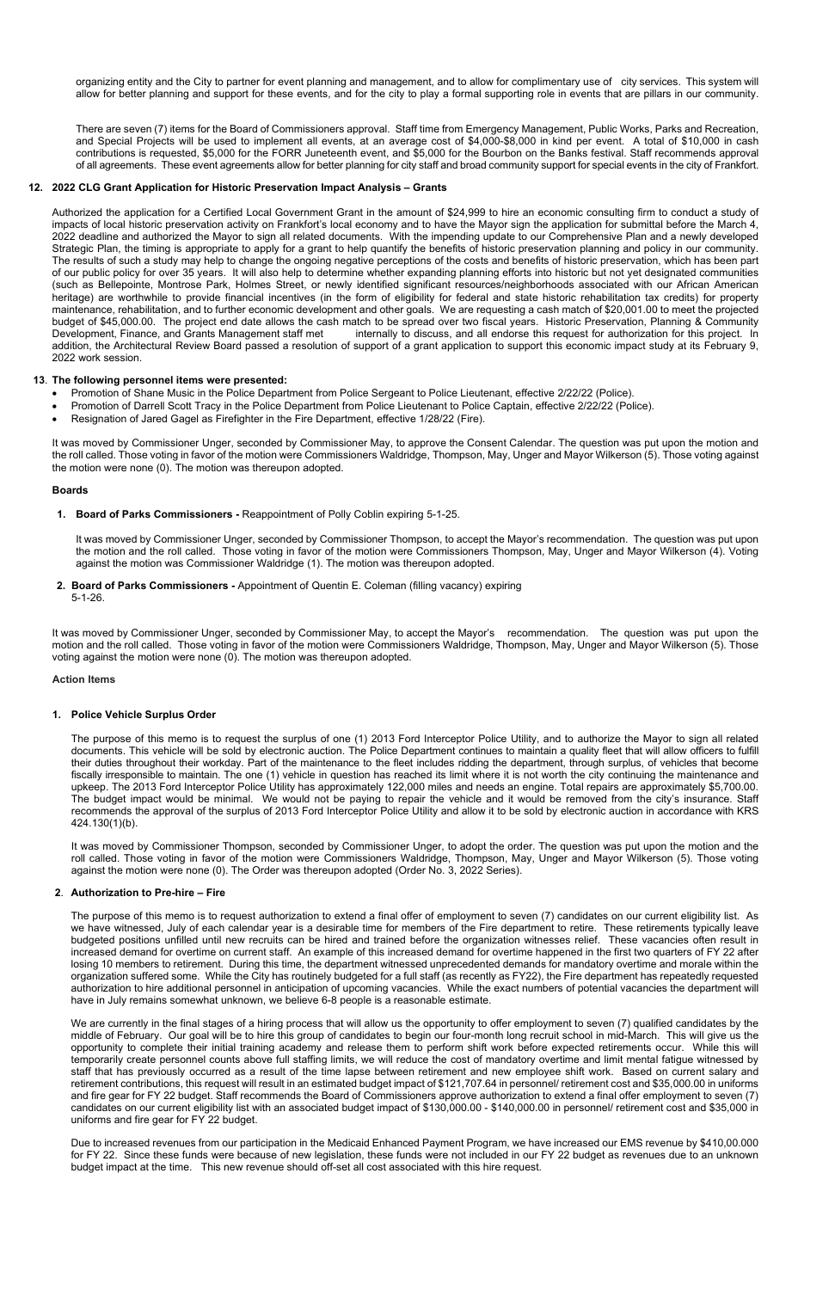organizing entity and the City to partner for event planning and management, and to allow for complimentary use of city services. This system will allow for better planning and support for these events, and for the city to play a formal supporting role in events that are pillars in our community.

There are seven (7) items for the Board of Commissioners approval. Staff time from Emergency Management, Public Works, Parks and Recreation, and Special Projects will be used to implement all events, at an average cost of \$4,000-\$8,000 in kind per event. A total of \$10,000 in cash contributions is requested, \$5,000 for the FORR Juneteenth event, and \$5,000 for the Bourbon on the Banks festival. Staff recommends approval of all agreements. These event agreements allow for better planning for city staff and broad community support for special events in the city of Frankfort.

### **12. 2022 CLG Grant Application for Historic Preservation Impact Analysis – Grants**

Authorized the application for a Certified Local Government Grant in the amount of \$24,999 to hire an economic consulting firm to conduct a study of impacts of local historic preservation activity on Frankfort's local economy and to have the Mayor sign the application for submittal before the March 4, 2022 deadline and authorized the Mayor to sign all related documents. With the impending update to our Comprehensive Plan and a newly developed Strategic Plan, the timing is appropriate to apply for a grant to help quantify the benefits of historic preservation planning and policy in our community. The results of such a study may help to change the ongoing negative perceptions of the costs and benefits of historic preservation, which has been part of our public policy for over 35 years. It will also help to determine whether expanding planning efforts into historic but not yet designated communities (such as Bellepointe, Montrose Park, Holmes Street, or newly identified significant resources/neighborhoods associated with our African American heritage) are worthwhile to provide financial incentives (in the form of eligibility for federal and state historic rehabilitation tax credits) for property maintenance, rehabilitation, and to further economic development and other goals. We are requesting a cash match of \$20,001.00 to meet the projected budget of \$45,000.00. The project end date allows the cash match to be spread over two fiscal years. Historic Preservation, Planning & Community Development, Finance, and Grants Management staff met internally to discuss, and all endorse this request for authorization for this project. In addition, the Architectural Review Board passed a resolution of support of a grant application to support this economic impact study at its February 9, 2022 work session.

### **13**. **The following personnel items were presented:**

- Promotion of Shane Music in the Police Department from Police Sergeant to Police Lieutenant, effective 2/22/22 (Police).
- Promotion of Darrell Scott Tracy in the Police Department from Police Lieutenant to Police Captain, effective 2/22/22 (Police).
- Resignation of Jared Gagel as Firefighter in the Fire Department, effective 1/28/22 (Fire).

It was moved by Commissioner Unger, seconded by Commissioner May, to approve the Consent Calendar. The question was put upon the motion and the roll called. Those voting in favor of the motion were Commissioners Waldridge, Thompson, May, Unger and Mayor Wilkerson (5). Those voting against the motion were none (0). The motion was thereupon adopted.

### **Boards**

**1. Board of Parks Commissioners -** Reappointment of Polly Coblin expiring 5-1-25.

It was moved by Commissioner Unger, seconded by Commissioner Thompson, to accept the Mayor's recommendation. The question was put upon the motion and the roll called. Those voting in favor of the motion were Commissioners Thompson, May, Unger and Mayor Wilkerson (4). Voting against the motion was Commissioner Waldridge (1). The motion was thereupon adopted.

**2. Board of Parks Commissioners -** Appointment of Quentin E. Coleman (filling vacancy) expiring 5-1-26.

We are currently in the final stages of a hiring process that will allow us the opportunity to offer employment to seven (7) qualified candidates by the middle of February. Our goal will be to hire this group of candidates to begin our four-month long recruit school in mid-March. This will give us the opportunity to complete their initial training academy and release them to perform shift work before expected retirements occur. While this will temporarily create personnel counts above full staffing limits, we will reduce the cost of mandatory overtime and limit mental fatigue witnessed by staff that has previously occurred as a result of the time lapse between retirement and new employee shift work. Based on current salary and retirement contributions, this request will result in an estimated budget impact of \$121,707.64 in personnel/ retirement cost and \$35,000.00 in uniforms and fire gear for FY 22 budget. Staff recommends the Board of Commissioners approve authorization to extend a final offer employment to seven (7) candidates on our current eligibility list with an associated budget impact of \$130,000.00 - \$140,000.00 in personnel/ retirement cost and \$35,000 in uniforms and fire gear for FY 22 budget.

It was moved by Commissioner Unger, seconded by Commissioner May, to accept the Mayor's recommendation. The question was put upon the motion and the roll called. Those voting in favor of the motion were Commissioners Waldridge, Thompson, May, Unger and Mayor Wilkerson (5). Those voting against the motion were none (0). The motion was thereupon adopted.

### **Action Items**

### **1. Police Vehicle Surplus Order**

The purpose of this memo is to request the surplus of one (1) 2013 Ford Interceptor Police Utility, and to authorize the Mayor to sign all related documents. This vehicle will be sold by electronic auction. The Police Department continues to maintain a quality fleet that will allow officers to fulfill their duties throughout their workday. Part of the maintenance to the fleet includes ridding the department, through surplus, of vehicles that become fiscally irresponsible to maintain. The one (1) vehicle in question has reached its limit where it is not worth the city continuing the maintenance and upkeep. The 2013 Ford Interceptor Police Utility has approximately 122,000 miles and needs an engine. Total repairs are approximately \$5,700.00. The budget impact would be minimal. We would not be paying to repair the vehicle and it would be removed from the city's insurance. Staff recommends the approval of the surplus of 2013 Ford Interceptor Police Utility and allow it to be sold by electronic auction in accordance with KRS 424.130(1)(b).

It was moved by Commissioner Thompson, seconded by Commissioner Unger, to adopt the order. The question was put upon the motion and the roll called. Those voting in favor of the motion were Commissioners Waldridge, Thompson, May, Unger and Mayor Wilkerson (5). Those voting against the motion were none (0). The Order was thereupon adopted (Order No. 3, 2022 Series).

### **2**. **Authorization to Pre-hire – Fire**

The purpose of this memo is to request authorization to extend a final offer of employment to seven (7) candidates on our current eligibility list. As we have witnessed, July of each calendar year is a desirable time for members of the Fire department to retire. These retirements typically leave budgeted positions unfilled until new recruits can be hired and trained before the organization witnesses relief. These vacancies often result in increased demand for overtime on current staff. An example of this increased demand for overtime happened in the first two quarters of FY 22 after losing 10 members to retirement. During this time, the department witnessed unprecedented demands for mandatory overtime and morale within the organization suffered some. While the City has routinely budgeted for a full staff (as recently as FY22), the Fire department has repeatedly requested authorization to hire additional personnel in anticipation of upcoming vacancies. While the exact numbers of potential vacancies the department will have in July remains somewhat unknown, we believe 6-8 people is a reasonable estimate.

Due to increased revenues from our participation in the Medicaid Enhanced Payment Program, we have increased our EMS revenue by \$410,00.000 for FY 22. Since these funds were because of new legislation, these funds were not included in our FY 22 budget as revenues due to an unknown budget impact at the time. This new revenue should off-set all cost associated with this hire request.